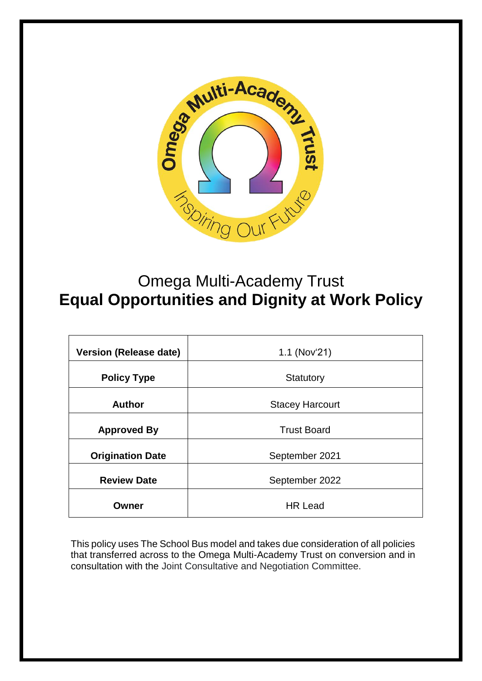

# Omega Multi-Academy Trust **Equal Opportunities and Dignity at Work Policy**

| <b>Version (Release date)</b> | 1.1 (Nov'21)           |
|-------------------------------|------------------------|
| <b>Policy Type</b>            | Statutory              |
| <b>Author</b>                 | <b>Stacey Harcourt</b> |
| <b>Approved By</b>            | <b>Trust Board</b>     |
| <b>Origination Date</b>       | September 2021         |
| <b>Review Date</b>            | September 2022         |
| Owner                         | <b>HR Lead</b>         |

This policy uses The School Bus model and takes due consideration of all policies that transferred across to the Omega Multi-Academy Trust on conversion and in consultation with the Joint Consultative and Negotiation Committee.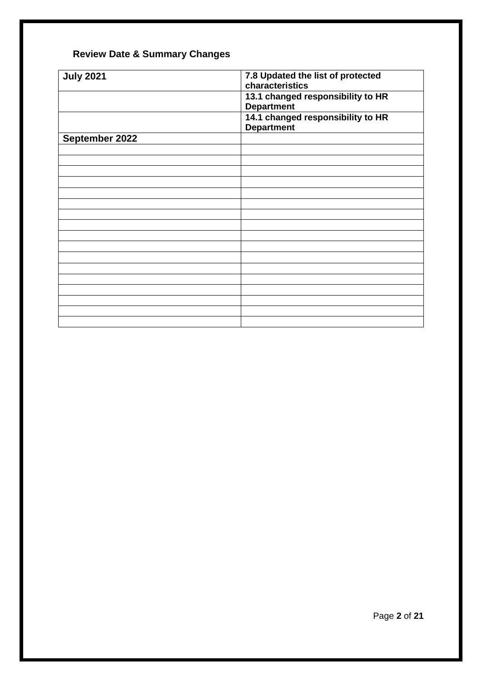# **Review Date & Summary Changes**

| <b>July 2021</b> | 7.8 Updated the list of protected |
|------------------|-----------------------------------|
|                  |                                   |
|                  | characteristics                   |
|                  |                                   |
|                  | 13.1 changed responsibility to HR |
|                  | <b>Department</b>                 |
|                  |                                   |
|                  | 14.1 changed responsibility to HR |
|                  | <b>Department</b>                 |
|                  |                                   |
| September 2022   |                                   |
|                  |                                   |
|                  |                                   |
|                  |                                   |
|                  |                                   |
|                  |                                   |
|                  |                                   |
|                  |                                   |
|                  |                                   |
|                  |                                   |
|                  |                                   |
|                  |                                   |
|                  |                                   |
|                  |                                   |
|                  |                                   |
|                  |                                   |
|                  |                                   |
|                  |                                   |
|                  |                                   |
|                  |                                   |
|                  |                                   |
|                  |                                   |
|                  |                                   |
|                  |                                   |
|                  |                                   |
|                  |                                   |
|                  |                                   |
|                  |                                   |
|                  |                                   |
|                  |                                   |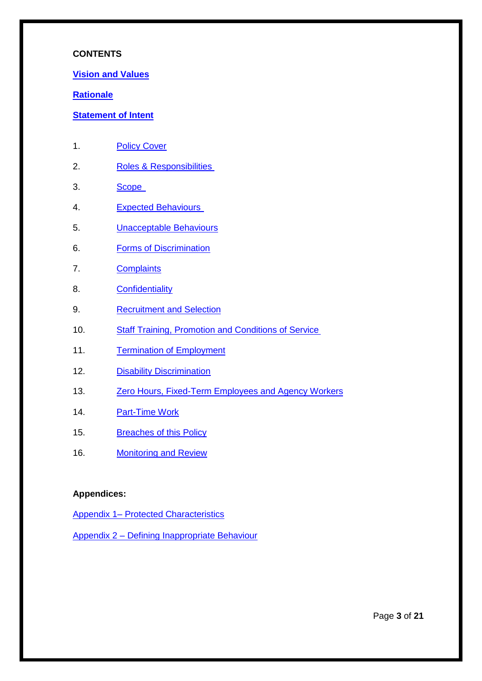#### **CONTENTS**

#### **[Vision and Values](#page-3-0)**

#### **[Rationale](#page-4-0)**

#### **[Statement of Intent](#page-5-0)**

- 1. [Policy Cover](#page-6-0)
- 2. [Roles & Responsibilities](#page-6-1)
- 3. [Scope](#page-6-2)
- 4. [Expected Behaviours](#page-6-3)
- 5. [Unacceptable Behaviours](#page-7-0)
- 6. [Forms of Discrimination](#page-8-0)
- 7. [Complaints](#page-9-0)
- 8. [Confidentiality](#page-10-0)
- 9. [Recruitment and Selection](#page-10-1)
- 10. [Staff Training, Promotion and Conditions of Service](#page-11-0)
- 11. [Termination of Employment](#page-12-0)
- 12. [Disability Discrimination](#page-12-1)
- 13. [Zero Hours, Fixed-Term Employees and Agency Workers](#page-12-2)
- 14. [Part-Time Work](#page-12-3)
- 15. [Breaches of this Policy](#page-13-0)
- 16. [Monitoring and Review](#page-13-1)

#### **Appendices:**

Appendix 1– [Protected Characteristics](#page-14-0)

Appendix 2 – [Defining Inappropriate Behaviour](#page-15-0)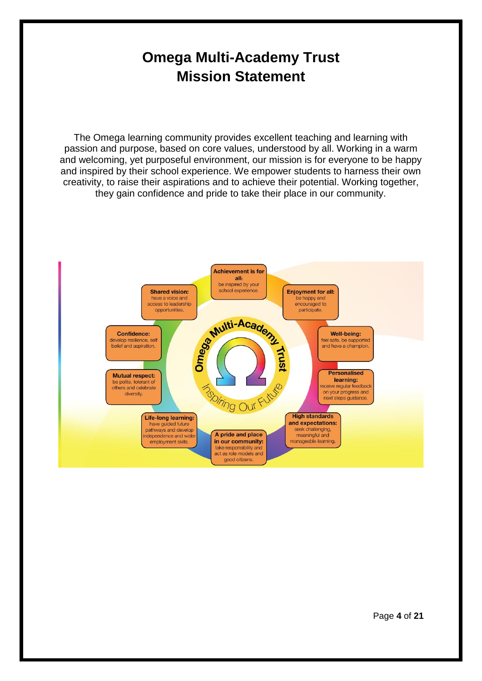# **Omega Multi-Academy Trust Mission Statement**

<span id="page-3-0"></span>The Omega learning community provides excellent teaching and learning with passion and purpose, based on core values, understood by all. Working in a warm and welcoming, yet purposeful environment, our mission is for everyone to be happy and inspired by their school experience. We empower students to harness their own creativity, to raise their aspirations and to achieve their potential. Working together, they gain confidence and pride to take their place in our community.

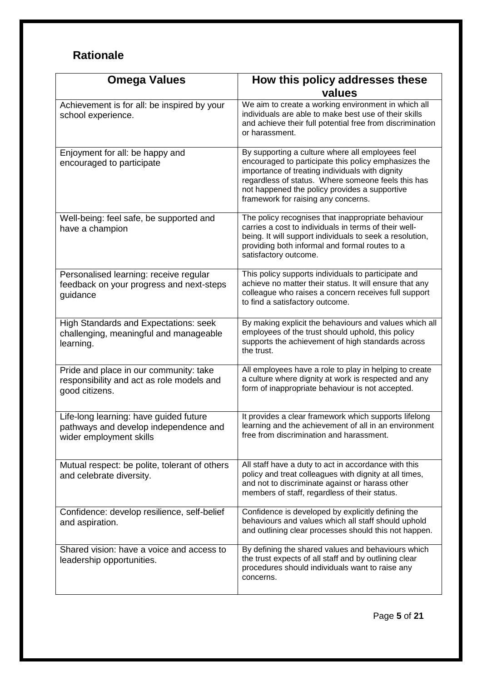# <span id="page-4-0"></span>**Rationale**

| <b>Omega Values</b>                                                                                        | How this policy addresses these                                                                                                                                                                                                                                                                           |
|------------------------------------------------------------------------------------------------------------|-----------------------------------------------------------------------------------------------------------------------------------------------------------------------------------------------------------------------------------------------------------------------------------------------------------|
|                                                                                                            | values                                                                                                                                                                                                                                                                                                    |
| Achievement is for all: be inspired by your<br>school experience.                                          | We aim to create a working environment in which all<br>individuals are able to make best use of their skills<br>and achieve their full potential free from discrimination<br>or harassment.                                                                                                               |
| Enjoyment for all: be happy and<br>encouraged to participate                                               | By supporting a culture where all employees feel<br>encouraged to participate this policy emphasizes the<br>importance of treating individuals with dignity<br>regardless of status. Where someone feels this has<br>not happened the policy provides a supportive<br>framework for raising any concerns. |
| Well-being: feel safe, be supported and<br>have a champion                                                 | The policy recognises that inappropriate behaviour<br>carries a cost to individuals in terms of their well-<br>being. It will support individuals to seek a resolution,<br>providing both informal and formal routes to a<br>satisfactory outcome.                                                        |
| Personalised learning: receive regular<br>feedback on your progress and next-steps<br>guidance             | This policy supports individuals to participate and<br>achieve no matter their status. It will ensure that any<br>colleague who raises a concern receives full support<br>to find a satisfactory outcome.                                                                                                 |
| High Standards and Expectations: seek<br>challenging, meaningful and manageable<br>learning.               | By making explicit the behaviours and values which all<br>employees of the trust should uphold, this policy<br>supports the achievement of high standards across<br>the trust.                                                                                                                            |
| Pride and place in our community: take<br>responsibility and act as role models and<br>good citizens.      | All employees have a role to play in helping to create<br>a culture where dignity at work is respected and any<br>form of inappropriate behaviour is not accepted.                                                                                                                                        |
| Life-long learning: have guided future<br>pathways and develop independence and<br>wider employment skills | It provides a clear framework which supports lifelong<br>learning and the achievement of all in an environment<br>free from discrimination and harassment.                                                                                                                                                |
| Mutual respect: be polite, tolerant of others<br>and celebrate diversity.                                  | All staff have a duty to act in accordance with this<br>policy and treat colleagues with dignity at all times,<br>and not to discriminate against or harass other<br>members of staff, regardless of their status.                                                                                        |
| Confidence: develop resilience, self-belief<br>and aspiration.                                             | Confidence is developed by explicitly defining the<br>behaviours and values which all staff should uphold<br>and outlining clear processes should this not happen.                                                                                                                                        |
| Shared vision: have a voice and access to<br>leadership opportunities.                                     | By defining the shared values and behaviours which<br>the trust expects of all staff and by outlining clear<br>procedures should individuals want to raise any<br>concerns.                                                                                                                               |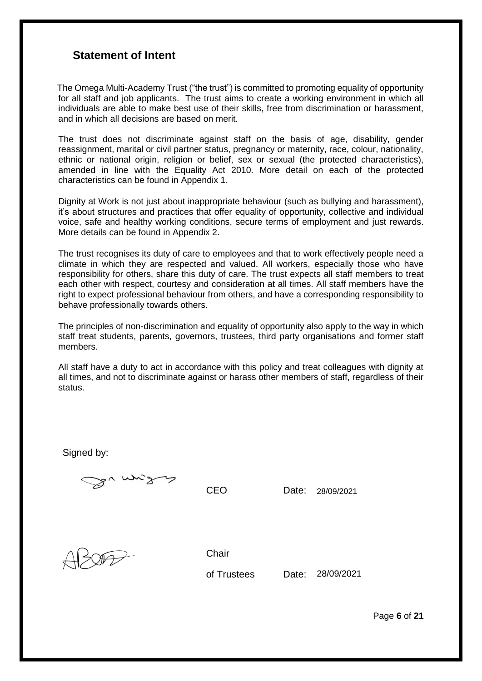### <span id="page-5-0"></span>**Statement of Intent**

 The Omega Multi-Academy Trust ("the trust") is committed to promoting equality of opportunity for all staff and job applicants. The trust aims to create a working environment in which all individuals are able to make best use of their skills, free from discrimination or harassment, and in which all decisions are based on merit.

The trust does not discriminate against staff on the basis of age, disability, gender reassignment, marital or civil partner status, pregnancy or maternity, race, colour, nationality, ethnic or national origin, religion or belief, sex or sexual (the protected characteristics), amended in line with the Equality Act 2010. More detail on each of the protected characteristics can be found in Appendix 1.

Dignity at Work is not just about inappropriate behaviour (such as bullying and harassment), it's about structures and practices that offer equality of opportunity, collective and individual voice, safe and healthy working conditions, secure terms of employment and just rewards. More details can be found in Appendix 2.

The trust recognises its duty of care to employees and that to work effectively people need a climate in which they are respected and valued. All workers, especially those who have responsibility for others, share this duty of care. The trust expects all staff members to treat each other with respect, courtesy and consideration at all times. All staff members have the right to expect professional behaviour from others, and have a corresponding responsibility to behave professionally towards others.

The principles of non-discrimination and equality of opportunity also apply to the way in which staff treat students, parents, governors, trustees, third party organisations and former staff members.

All staff have a duty to act in accordance with this policy and treat colleagues with dignity at all times, and not to discriminate against or harass other members of staff, regardless of their status.

Signed by: Sumitors CEO Date: 28/09/2021 **Chair** of Trustees Date: 28/09/2021

Page **6** of **21**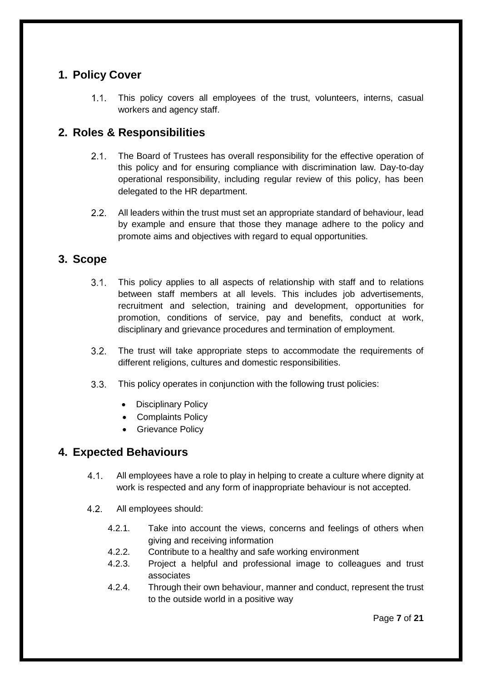## <span id="page-6-0"></span>**1. Policy Cover**

 $1.1 -$ This policy covers all employees of the trust, volunteers, interns, casual workers and agency staff.

# <span id="page-6-1"></span>**2. Roles & Responsibilities**

- $2.1.$ The Board of Trustees has overall responsibility for the effective operation of this policy and for ensuring compliance with discrimination law. Day-to-day operational responsibility, including regular review of this policy, has been delegated to the HR department.
- $2.2.$ All leaders within the trust must set an appropriate standard of behaviour, lead by example and ensure that those they manage adhere to the policy and promote aims and objectives with regard to equal opportunities.

### <span id="page-6-2"></span>**3. Scope**

- $3.1.$ This policy applies to all aspects of relationship with staff and to relations between staff members at all levels. This includes job advertisements, recruitment and selection, training and development, opportunities for promotion, conditions of service, pay and benefits, conduct at work, disciplinary and grievance procedures and termination of employment.
- $3.2.$ The trust will take appropriate steps to accommodate the requirements of different religions, cultures and domestic responsibilities.
- $3.3.$ This policy operates in conjunction with the following trust policies:
	- Disciplinary Policy
	- Complaints Policy
	- Grievance Policy

# <span id="page-6-3"></span>**4. Expected Behaviours**

- $4.1.$ All employees have a role to play in helping to create a culture where dignity at work is respected and any form of inappropriate behaviour is not accepted.
- $4.2.$ All employees should:
	- 4.2.1. Take into account the views, concerns and feelings of others when giving and receiving information
	- 4.2.2. Contribute to a healthy and safe working environment
	- 4.2.3. Project a helpful and professional image to colleagues and trust associates
	- 4.2.4. Through their own behaviour, manner and conduct, represent the trust to the outside world in a positive way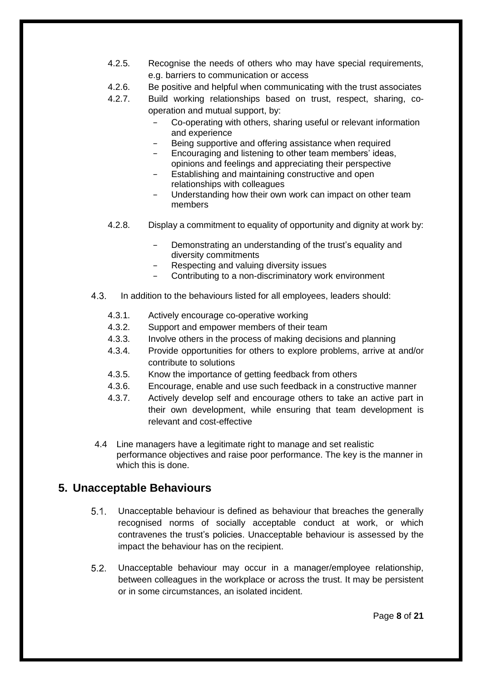- 4.2.5. Recognise the needs of others who may have special requirements, e.g. barriers to communication or access
- 4.2.6. Be positive and helpful when communicating with the trust associates
- 4.2.7. Build working relationships based on trust, respect, sharing, cooperation and mutual support, by:
	- − Co-operating with others, sharing useful or relevant information and experience
	- Being supportive and offering assistance when required
	- Encouraging and listening to other team members' ideas, opinions and feelings and appreciating their perspective
	- Establishing and maintaining constructive and open relationships with colleagues
	- Understanding how their own work can impact on other team members
- 4.2.8. Display a commitment to equality of opportunity and dignity at work by:
	- Demonstrating an understanding of the trust's equality and diversity commitments
	- Respecting and valuing diversity issues
	- Contributing to a non-discriminatory work environment
- $4.3.$ In addition to the behaviours listed for all employees, leaders should:
	- 4.3.1. Actively encourage co-operative working
	- 4.3.2. Support and empower members of their team
	- 4.3.3. Involve others in the process of making decisions and planning
	- 4.3.4. Provide opportunities for others to explore problems, arrive at and/or contribute to solutions
	- 4.3.5. Know the importance of getting feedback from others
	- 4.3.6. Encourage, enable and use such feedback in a constructive manner
	- 4.3.7. Actively develop self and encourage others to take an active part in their own development, while ensuring that team development is relevant and cost-effective
- 4.4 Line managers have a legitimate right to manage and set realistic performance objectives and raise poor performance. The key is the manner in which this is done.

### <span id="page-7-0"></span>**5. Unacceptable Behaviours**

- $5.1$ Unacceptable behaviour is defined as behaviour that breaches the generally recognised norms of socially acceptable conduct at work, or which contravenes the trust's policies. Unacceptable behaviour is assessed by the impact the behaviour has on the recipient.
- $5.2.$ Unacceptable behaviour may occur in a manager/employee relationship, between colleagues in the workplace or across the trust. It may be persistent or in some circumstances, an isolated incident.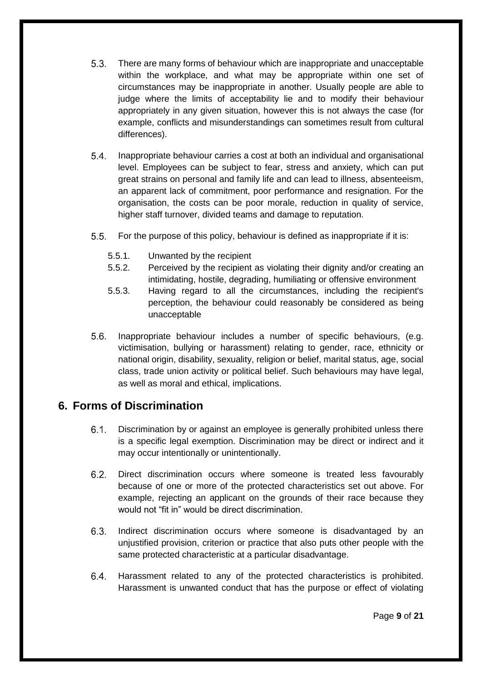- $5.3.$ There are many forms of behaviour which are inappropriate and unacceptable within the workplace, and what may be appropriate within one set of circumstances may be inappropriate in another. Usually people are able to judge where the limits of acceptability lie and to modify their behaviour appropriately in any given situation, however this is not always the case (for example, conflicts and misunderstandings can sometimes result from cultural differences).
- $5.4.$ Inappropriate behaviour carries a cost at both an individual and organisational level. Employees can be subject to fear, stress and anxiety, which can put great strains on personal and family life and can lead to illness, absenteeism, an apparent lack of commitment, poor performance and resignation. For the organisation, the costs can be poor morale, reduction in quality of service, higher staff turnover, divided teams and damage to reputation.
- $5.5.$ For the purpose of this policy, behaviour is defined as inappropriate if it is:
	- 5.5.1. Unwanted by the recipient
	- 5.5.2. Perceived by the recipient as violating their dignity and/or creating an intimidating, hostile, degrading, humiliating or offensive environment
	- 5.5.3. Having regard to all the circumstances, including the recipient's perception, the behaviour could reasonably be considered as being unacceptable
- $5.6.$ Inappropriate behaviour includes a number of specific behaviours, (e.g. victimisation, bullying or harassment) relating to gender, race, ethnicity or national origin, disability, sexuality, religion or belief, marital status, age, social class, trade union activity or political belief. Such behaviours may have legal, as well as moral and ethical, implications.

# <span id="page-8-0"></span>**6. Forms of Discrimination**

- $6.1.$ Discrimination by or against an employee is generally prohibited unless there is a specific legal exemption. Discrimination may be direct or indirect and it may occur intentionally or unintentionally.
- $6.2.$ Direct discrimination occurs where someone is treated less favourably because of one or more of the protected characteristics set out above. For example, rejecting an applicant on the grounds of their race because they would not "fit in" would be direct discrimination.
- $6.3.$ Indirect discrimination occurs where someone is disadvantaged by an unjustified provision, criterion or practice that also puts other people with the same protected characteristic at a particular disadvantage.
- $6.4.$ Harassment related to any of the protected characteristics is prohibited. Harassment is unwanted conduct that has the purpose or effect of violating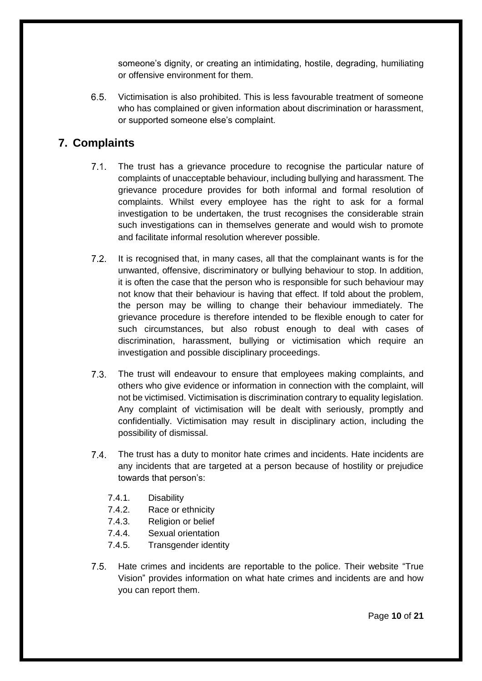someone's dignity, or creating an intimidating, hostile, degrading, humiliating or offensive environment for them.

 $6.5.$ Victimisation is also prohibited. This is less favourable treatment of someone who has complained or given information about discrimination or harassment, or supported someone else's complaint.

# <span id="page-9-0"></span>**7. Complaints**

- $7.1$ The trust has a grievance procedure to recognise the particular nature of complaints of unacceptable behaviour, including bullying and harassment. The grievance procedure provides for both informal and formal resolution of complaints. Whilst every employee has the right to ask for a formal investigation to be undertaken, the trust recognises the considerable strain such investigations can in themselves generate and would wish to promote and facilitate informal resolution wherever possible.
- $7.2$ It is recognised that, in many cases, all that the complainant wants is for the unwanted, offensive, discriminatory or bullying behaviour to stop. In addition, it is often the case that the person who is responsible for such behaviour may not know that their behaviour is having that effect. If told about the problem, the person may be willing to change their behaviour immediately. The grievance procedure is therefore intended to be flexible enough to cater for such circumstances, but also robust enough to deal with cases of discrimination, harassment, bullying or victimisation which require an investigation and possible disciplinary proceedings.
- $7.3.$ The trust will endeavour to ensure that employees making complaints, and others who give evidence or information in connection with the complaint, will not be victimised. Victimisation is discrimination contrary to equality legislation. Any complaint of victimisation will be dealt with seriously, promptly and confidentially. Victimisation may result in disciplinary action, including the possibility of dismissal.
- $7.4.$ The trust has a duty to monitor hate crimes and incidents. Hate incidents are any incidents that are targeted at a person because of hostility or prejudice towards that person's:
	- 7.4.1. Disability
	- 7.4.2. Race or ethnicity
	- 7.4.3. Religion or belief
	- 7.4.4. Sexual orientation
	- 7.4.5. Transgender identity
- $7.5.$ Hate crimes and incidents are reportable to the police. Their website "True Vision" provides information on what hate crimes and incidents are and how you can report them.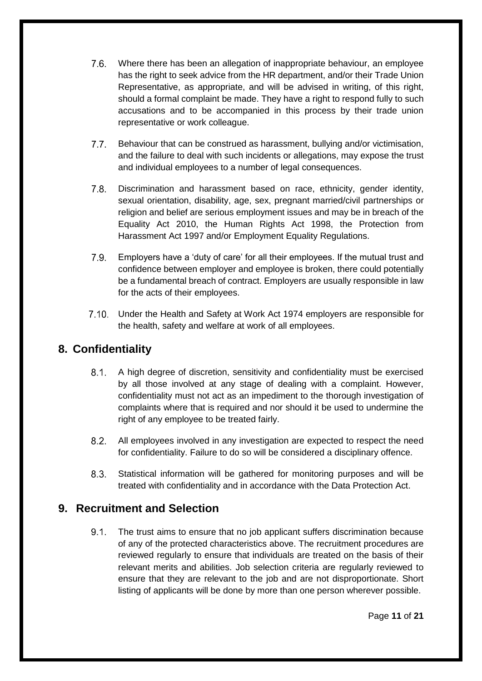- $7.6.$ Where there has been an allegation of inappropriate behaviour, an employee has the right to seek advice from the HR department, and/or their Trade Union Representative, as appropriate, and will be advised in writing, of this right, should a formal complaint be made. They have a right to respond fully to such accusations and to be accompanied in this process by their trade union representative or work colleague.
- $7.7.$ Behaviour that can be construed as harassment, bullying and/or victimisation, and the failure to deal with such incidents or allegations, may expose the trust and individual employees to a number of legal consequences.
- $7.8.$ Discrimination and harassment based on race, ethnicity, gender identity, sexual orientation, disability, age, sex, pregnant married/civil partnerships or religion and belief are serious employment issues and may be in breach of the Equality Act 2010, the Human Rights Act 1998, the Protection from Harassment Act 1997 and/or Employment Equality Regulations.
- $7.9.$ Employers have a 'duty of care' for all their employees. If the mutual trust and confidence between employer and employee is broken, there could potentially be a fundamental breach of contract. Employers are usually responsible in law for the acts of their employees.
- 7.10. Under the Health and Safety at Work Act 1974 employers are responsible for the health, safety and welfare at work of all employees.

# <span id="page-10-0"></span>**8. Confidentiality**

- $8.1.$ A high degree of discretion, sensitivity and confidentiality must be exercised by all those involved at any stage of dealing with a complaint. However, confidentiality must not act as an impediment to the thorough investigation of complaints where that is required and nor should it be used to undermine the right of any employee to be treated fairly.
- $8.2.$ All employees involved in any investigation are expected to respect the need for confidentiality. Failure to do so will be considered a disciplinary offence.
- $8.3.$ Statistical information will be gathered for monitoring purposes and will be treated with confidentiality and in accordance with the Data Protection Act.

### <span id="page-10-1"></span>**9. Recruitment and Selection**

 $9.1$ The trust aims to ensure that no job applicant suffers discrimination because of any of the protected characteristics above. The recruitment procedures are reviewed regularly to ensure that individuals are treated on the basis of their relevant merits and abilities. Job selection criteria are regularly reviewed to ensure that they are relevant to the job and are not disproportionate. Short listing of applicants will be done by more than one person wherever possible.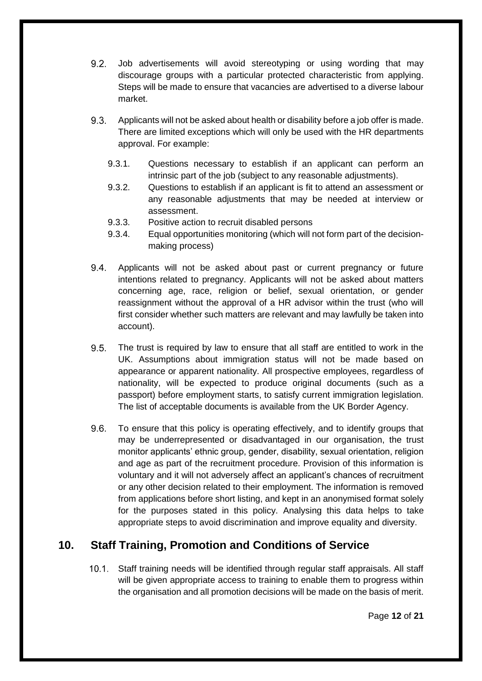- $9.2.$ Job advertisements will avoid stereotyping or using wording that may discourage groups with a particular protected characteristic from applying. Steps will be made to ensure that vacancies are advertised to a diverse labour market.
- $9.3.$ Applicants will not be asked about health or disability before a job offer is made. There are limited exceptions which will only be used with the HR departments approval. For example:
	- 9.3.1. Questions necessary to establish if an applicant can perform an intrinsic part of the job (subject to any reasonable adjustments).
	- 9.3.2. Questions to establish if an applicant is fit to attend an assessment or any reasonable adjustments that may be needed at interview or assessment.
	- 9.3.3. Positive action to recruit disabled persons
	- 9.3.4. Equal opportunities monitoring (which will not form part of the decisionmaking process)
- $9.4.$ Applicants will not be asked about past or current pregnancy or future intentions related to pregnancy. Applicants will not be asked about matters concerning age, race, religion or belief, sexual orientation, or gender reassignment without the approval of a HR advisor within the trust (who will first consider whether such matters are relevant and may lawfully be taken into account).
- $9.5.$ The trust is required by law to ensure that all staff are entitled to work in the UK. Assumptions about immigration status will not be made based on appearance or apparent nationality. All prospective employees, regardless of nationality, will be expected to produce original documents (such as a passport) before employment starts, to satisfy current immigration legislation. The list of acceptable documents is available from the UK Border Agency.
- $9.6.$ To ensure that this policy is operating effectively, and to identify groups that may be underrepresented or disadvantaged in our organisation, the trust monitor applicants' ethnic group, gender, disability, sexual orientation, religion and age as part of the recruitment procedure. Provision of this information is voluntary and it will not adversely affect an applicant's chances of recruitment or any other decision related to their employment. The information is removed from applications before short listing, and kept in an anonymised format solely for the purposes stated in this policy. Analysing this data helps to take appropriate steps to avoid discrimination and improve equality and diversity.

# <span id="page-11-0"></span>**10. Staff Training, Promotion and Conditions of Service**

10.1. Staff training needs will be identified through regular staff appraisals. All staff will be given appropriate access to training to enable them to progress within the organisation and all promotion decisions will be made on the basis of merit.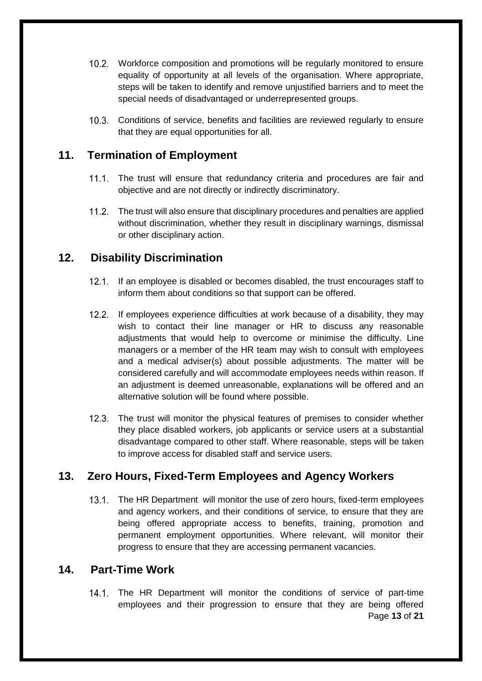- Workforce composition and promotions will be regularly monitored to ensure equality of opportunity at all levels of the organisation. Where appropriate, steps will be taken to identify and remove unjustified barriers and to meet the special needs of disadvantaged or underrepresented groups.
- Conditions of service, benefits and facilities are reviewed regularly to ensure that they are equal opportunities for all.

### <span id="page-12-0"></span>**11. Termination of Employment**

- 11.1. The trust will ensure that redundancy criteria and procedures are fair and objective and are not directly or indirectly discriminatory.
- The trust will also ensure that disciplinary procedures and penalties are applied without discrimination, whether they result in disciplinary warnings, dismissal or other disciplinary action.

### <span id="page-12-1"></span>**12. Disability Discrimination**

- $12.1.$ If an employee is disabled or becomes disabled, the trust encourages staff to inform them about conditions so that support can be offered.
- 12.2. If employees experience difficulties at work because of a disability, they may wish to contact their line manager or HR to discuss any reasonable adjustments that would help to overcome or minimise the difficulty. Line managers or a member of the HR team may wish to consult with employees and a medical adviser(s) about possible adjustments. The matter will be considered carefully and will accommodate employees needs within reason. If an adjustment is deemed unreasonable, explanations will be offered and an alternative solution will be found where possible.
- 12.3. The trust will monitor the physical features of premises to consider whether they place disabled workers, job applicants or service users at a substantial disadvantage compared to other staff. Where reasonable, steps will be taken to improve access for disabled staff and service users.

# <span id="page-12-2"></span>**13. Zero Hours, Fixed-Term Employees and Agency Workers**

13.1. The HR Department will monitor the use of zero hours, fixed-term employees and agency workers, and their conditions of service, to ensure that they are being offered appropriate access to benefits, training, promotion and permanent employment opportunities. Where relevant, will monitor their progress to ensure that they are accessing permanent vacancies.

### <span id="page-12-3"></span>**14. Part-Time Work**

Page **13** of **21** 14.1. The HR Department will monitor the conditions of service of part-time employees and their progression to ensure that they are being offered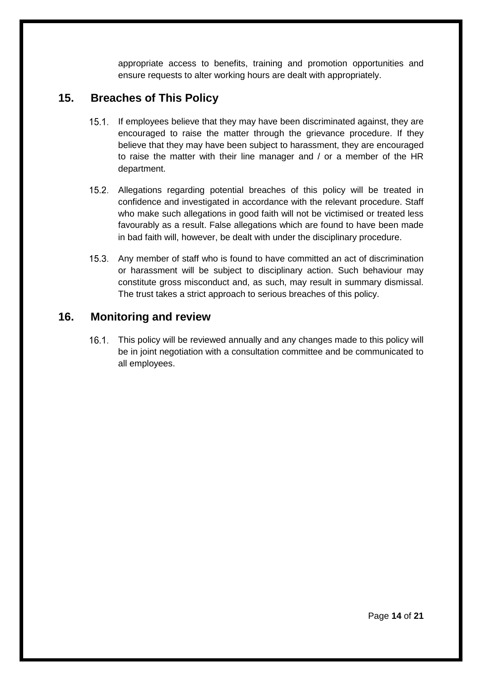appropriate access to benefits, training and promotion opportunities and ensure requests to alter working hours are dealt with appropriately.

## <span id="page-13-0"></span>**15. Breaches of This Policy**

- 15.1. If employees believe that they may have been discriminated against, they are encouraged to raise the matter through the grievance procedure. If they believe that they may have been subject to harassment, they are encouraged to raise the matter with their line manager and / or a member of the HR department.
- 15.2. Allegations regarding potential breaches of this policy will be treated in confidence and investigated in accordance with the relevant procedure. Staff who make such allegations in good faith will not be victimised or treated less favourably as a result. False allegations which are found to have been made in bad faith will, however, be dealt with under the disciplinary procedure.
- 15.3. Any member of staff who is found to have committed an act of discrimination or harassment will be subject to disciplinary action. Such behaviour may constitute gross misconduct and, as such, may result in summary dismissal. The trust takes a strict approach to serious breaches of this policy.

### <span id="page-13-1"></span>**16. Monitoring and review**

16.1. This policy will be reviewed annually and any changes made to this policy will be in joint negotiation with a consultation committee and be communicated to all employees.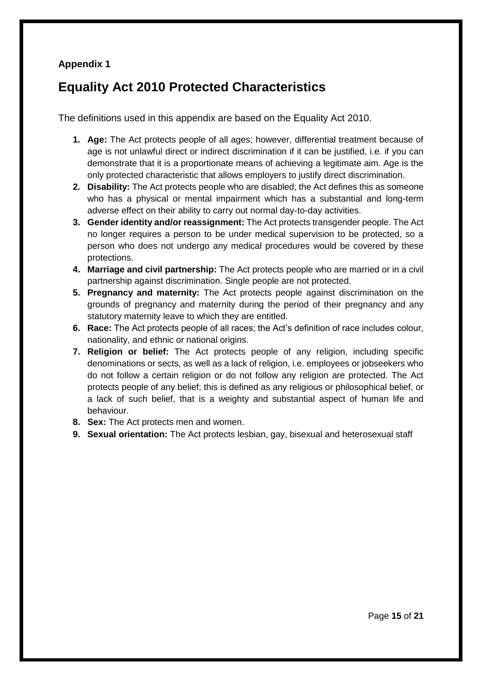### **Appendix 1**

# <span id="page-14-0"></span>**Equality Act 2010 Protected Characteristics**

The definitions used in this appendix are based on the Equality Act 2010.

- **1. Age:** The Act protects people of all ages; however, differential treatment because of age is not unlawful direct or indirect discrimination if it can be justified, i.e. if you can demonstrate that it is a proportionate means of achieving a legitimate aim. Age is the only protected characteristic that allows employers to justify direct discrimination.
- **2. Disability:** The Act protects people who are disabled; the Act defines this as someone who has a physical or mental impairment which has a substantial and long-term adverse effect on their ability to carry out normal day-to-day activities.
- **3. Gender identity and/or reassignment:** The Act protects transgender people. The Act no longer requires a person to be under medical supervision to be protected, so a person who does not undergo any medical procedures would be covered by these protections.
- **4. Marriage and civil partnership:** The Act protects people who are married or in a civil partnership against discrimination. Single people are not protected.
- **5. Pregnancy and maternity:** The Act protects people against discrimination on the grounds of pregnancy and maternity during the period of their pregnancy and any statutory maternity leave to which they are entitled.
- **6. Race:** The Act protects people of all races; the Act's definition of race includes colour, nationality, and ethnic or national origins.
- **7. Religion or belief:** The Act protects people of any religion, including specific denominations or sects, as well as a lack of religion, i.e. employees or jobseekers who do not follow a certain religion or do not follow any religion are protected. The Act protects people of any belief; this is defined as any religious or philosophical belief, or a lack of such belief, that is a weighty and substantial aspect of human life and behaviour.
- **8. Sex:** The Act protects men and women.
- **9. Sexual orientation:** The Act protects lesbian, gay, bisexual and heterosexual staff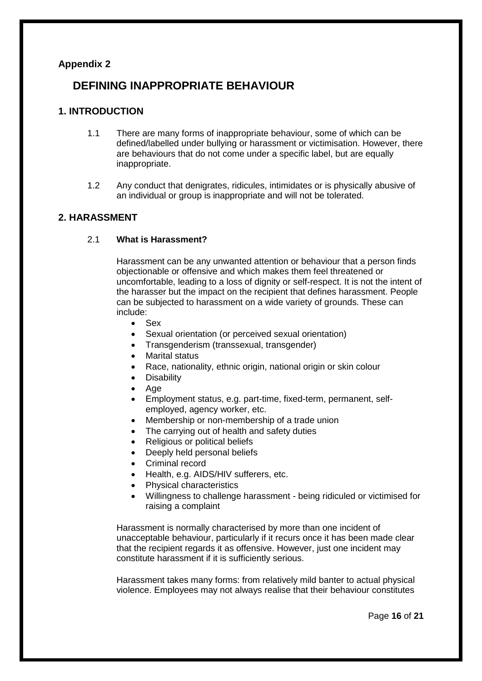#### <span id="page-15-0"></span>**Appendix 2**

## **DEFINING INAPPROPRIATE BEHAVIOUR**

#### **1. INTRODUCTION**

- 1.1 There are many forms of inappropriate behaviour, some of which can be defined/labelled under bullying or harassment or victimisation. However, there are behaviours that do not come under a specific label, but are equally inappropriate.
- 1.2 Any conduct that denigrates, ridicules, intimidates or is physically abusive of an individual or group is inappropriate and will not be tolerated.

#### **2. HARASSMENT**

#### 2.1 **What is Harassment?**

Harassment can be any unwanted attention or behaviour that a person finds objectionable or offensive and which makes them feel threatened or uncomfortable, leading to a loss of dignity or self-respect. It is not the intent of the harasser but the impact on the recipient that defines harassment. People can be subjected to harassment on a wide variety of grounds. These can include:

- Sex
- Sexual orientation (or perceived sexual orientation)
- Transgenderism (transsexual, transgender)
- **Marital status**
- Race, nationality, ethnic origin, national origin or skin colour
- **Disability**
- Age
- Employment status, e.g. part-time, fixed-term, permanent, selfemployed, agency worker, etc.
- Membership or non-membership of a trade union
- The carrying out of health and safety duties
- Religious or political beliefs
- Deeply held personal beliefs
- Criminal record
- Health, e.g. AIDS/HIV sufferers, etc.
- Physical characteristics
- Willingness to challenge harassment being ridiculed or victimised for raising a complaint

Harassment is normally characterised by more than one incident of unacceptable behaviour, particularly if it recurs once it has been made clear that the recipient regards it as offensive. However, just one incident may constitute harassment if it is sufficiently serious.

Harassment takes many forms: from relatively mild banter to actual physical violence. Employees may not always realise that their behaviour constitutes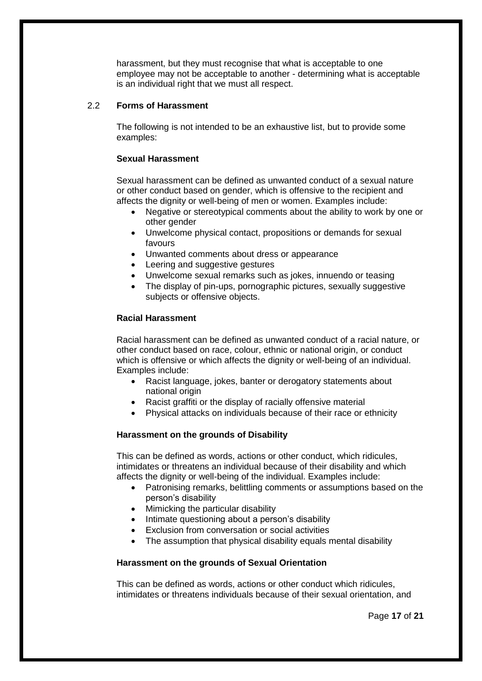harassment, but they must recognise that what is acceptable to one employee may not be acceptable to another - determining what is acceptable is an individual right that we must all respect.

#### 2.2 **Forms of Harassment**

The following is not intended to be an exhaustive list, but to provide some examples:

#### **Sexual Harassment**

Sexual harassment can be defined as unwanted conduct of a sexual nature or other conduct based on gender, which is offensive to the recipient and affects the dignity or well-being of men or women. Examples include:

- Negative or stereotypical comments about the ability to work by one or other gender
- Unwelcome physical contact, propositions or demands for sexual favours
- Unwanted comments about dress or appearance
- Leering and suggestive gestures
- Unwelcome sexual remarks such as jokes, innuendo or teasing
- The display of pin-ups, pornographic pictures, sexually suggestive subjects or offensive objects.

#### **Racial Harassment**

Racial harassment can be defined as unwanted conduct of a racial nature, or other conduct based on race, colour, ethnic or national origin, or conduct which is offensive or which affects the dignity or well-being of an individual. Examples include:

- Racist language, jokes, banter or derogatory statements about national origin
- Racist graffiti or the display of racially offensive material
- Physical attacks on individuals because of their race or ethnicity

#### **Harassment on the grounds of Disability**

This can be defined as words, actions or other conduct, which ridicules, intimidates or threatens an individual because of their disability and which affects the dignity or well-being of the individual. Examples include:

- Patronising remarks, belittling comments or assumptions based on the person's disability
- Mimicking the particular disability
- Intimate questioning about a person's disability
- Exclusion from conversation or social activities
- The assumption that physical disability equals mental disability

#### **Harassment on the grounds of Sexual Orientation**

This can be defined as words, actions or other conduct which ridicules, intimidates or threatens individuals because of their sexual orientation, and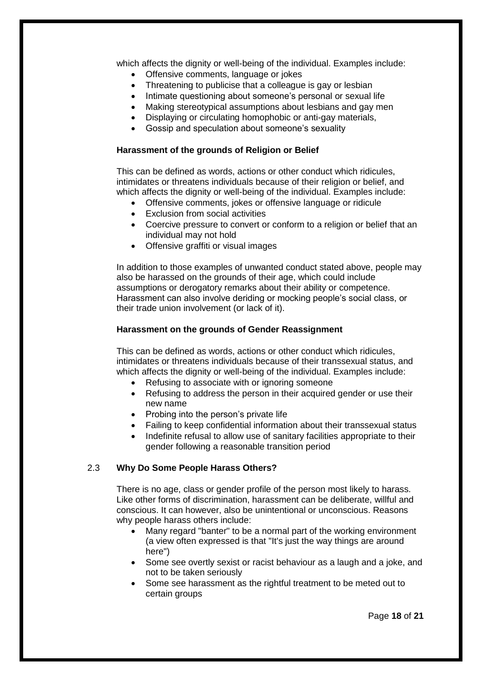which affects the dignity or well-being of the individual. Examples include:

- Offensive comments, language or jokes
- Threatening to publicise that a colleague is gay or lesbian
- Intimate questioning about someone's personal or sexual life
- Making stereotypical assumptions about lesbians and gay men
- Displaying or circulating homophobic or anti-gay materials,
- Gossip and speculation about someone's sexuality

#### **Harassment of the grounds of Religion or Belief**

This can be defined as words, actions or other conduct which ridicules, intimidates or threatens individuals because of their religion or belief, and which affects the dignity or well-being of the individual. Examples include:

- Offensive comments, jokes or offensive language or ridicule
- Exclusion from social activities
- Coercive pressure to convert or conform to a religion or belief that an individual may not hold
- Offensive graffiti or visual images

In addition to those examples of unwanted conduct stated above, people may also be harassed on the grounds of their age, which could include assumptions or derogatory remarks about their ability or competence. Harassment can also involve deriding or mocking people's social class, or their trade union involvement (or lack of it).

#### **Harassment on the grounds of Gender Reassignment**

This can be defined as words, actions or other conduct which ridicules, intimidates or threatens individuals because of their transsexual status, and which affects the dignity or well-being of the individual. Examples include:

- Refusing to associate with or ignoring someone
- Refusing to address the person in their acquired gender or use their new name
- Probing into the person's private life
- Failing to keep confidential information about their transsexual status
- Indefinite refusal to allow use of sanitary facilities appropriate to their gender following a reasonable transition period

#### 2.3 **Why Do Some People Harass Others?**

There is no age, class or gender profile of the person most likely to harass. Like other forms of discrimination, harassment can be deliberate, willful and conscious. It can however, also be unintentional or unconscious. Reasons why people harass others include:

- Many regard "banter" to be a normal part of the working environment (a view often expressed is that "It's just the way things are around here")
- Some see overtly sexist or racist behaviour as a laugh and a joke, and not to be taken seriously
- Some see harassment as the rightful treatment to be meted out to certain groups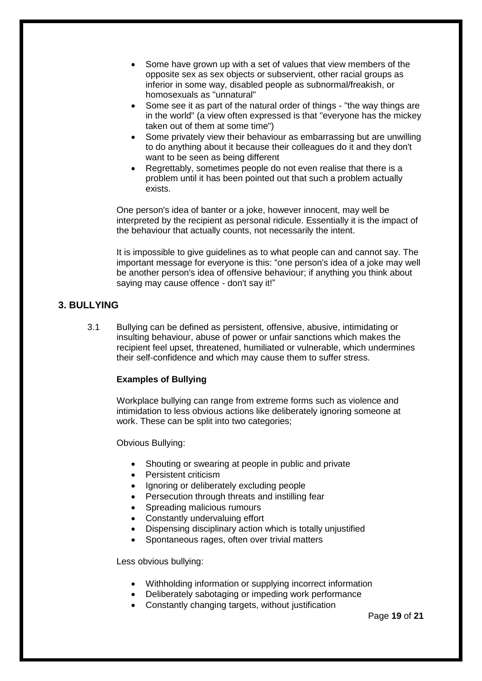- Some have grown up with a set of values that view members of the opposite sex as sex objects or subservient, other racial groups as inferior in some way, disabled people as subnormal/freakish, or homosexuals as "unnatural"
- Some see it as part of the natural order of things "the way things are in the world" (a view often expressed is that "everyone has the mickey taken out of them at some time")
- Some privately view their behaviour as embarrassing but are unwilling to do anything about it because their colleagues do it and they don't want to be seen as being different
- Regrettably, sometimes people do not even realise that there is a problem until it has been pointed out that such a problem actually exists.

One person's idea of banter or a joke, however innocent, may well be interpreted by the recipient as personal ridicule. Essentially it is the impact of the behaviour that actually counts, not necessarily the intent.

It is impossible to give guidelines as to what people can and cannot say. The important message for everyone is this: "one person's idea of a joke may well be another person's idea of offensive behaviour; if anything you think about saying may cause offence - don't say it!"

#### **3. BULLYING**

3.1 Bullying can be defined as persistent, offensive, abusive, intimidating or insulting behaviour, abuse of power or unfair sanctions which makes the recipient feel upset, threatened, humiliated or vulnerable, which undermines their self-confidence and which may cause them to suffer stress.

#### **Examples of Bullying**

Workplace bullying can range from extreme forms such as violence and intimidation to less obvious actions like deliberately ignoring someone at work. These can be split into two categories;

Obvious Bullying:

- Shouting or swearing at people in public and private
- Persistent criticism
- Ignoring or deliberately excluding people
- Persecution through threats and instilling fear
- Spreading malicious rumours
- Constantly undervaluing effort
- Dispensing disciplinary action which is totally unjustified
- Spontaneous rages, often over trivial matters

Less obvious bullying:

- Withholding information or supplying incorrect information
- Deliberately sabotaging or impeding work performance
- Constantly changing targets, without justification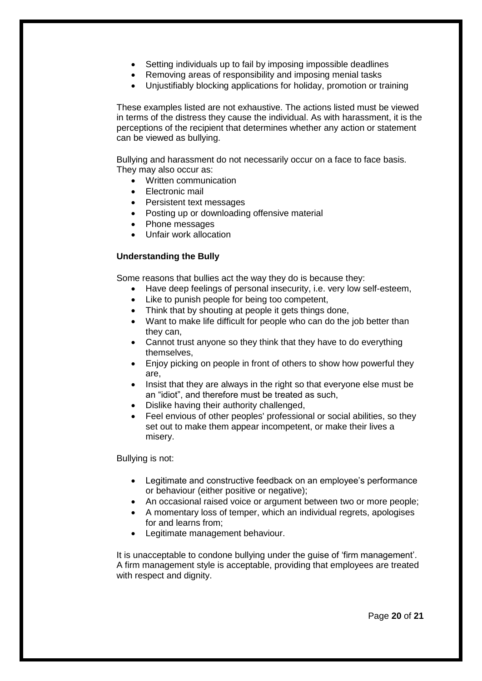- Setting individuals up to fail by imposing impossible deadlines
- Removing areas of responsibility and imposing menial tasks
- Uniustifiably blocking applications for holiday, promotion or training

These examples listed are not exhaustive. The actions listed must be viewed in terms of the distress they cause the individual. As with harassment, it is the perceptions of the recipient that determines whether any action or statement can be viewed as bullying.

Bullying and harassment do not necessarily occur on a face to face basis. They may also occur as:

- Written communication
- Electronic mail
- Persistent text messages
- Posting up or downloading offensive material
- Phone messages
- Unfair work allocation

#### **Understanding the Bully**

Some reasons that bullies act the way they do is because they:

- Have deep feelings of personal insecurity, i.e. very low self-esteem,
- Like to punish people for being too competent,
- Think that by shouting at people it gets things done,
- Want to make life difficult for people who can do the job better than they can,
- Cannot trust anyone so they think that they have to do everything themselves,
- Enjoy picking on people in front of others to show how powerful they are,
- Insist that they are always in the right so that everyone else must be an "idiot", and therefore must be treated as such,
- Dislike having their authority challenged,
- Feel envious of other peoples' professional or social abilities, so they set out to make them appear incompetent, or make their lives a misery.

Bullying is not:

- Legitimate and constructive feedback on an employee's performance or behaviour (either positive or negative);
- An occasional raised voice or argument between two or more people;
- A momentary loss of temper, which an individual regrets, apologises for and learns from;
- Legitimate management behaviour.

It is unacceptable to condone bullying under the guise of 'firm management'. A firm management style is acceptable, providing that employees are treated with respect and dignity.